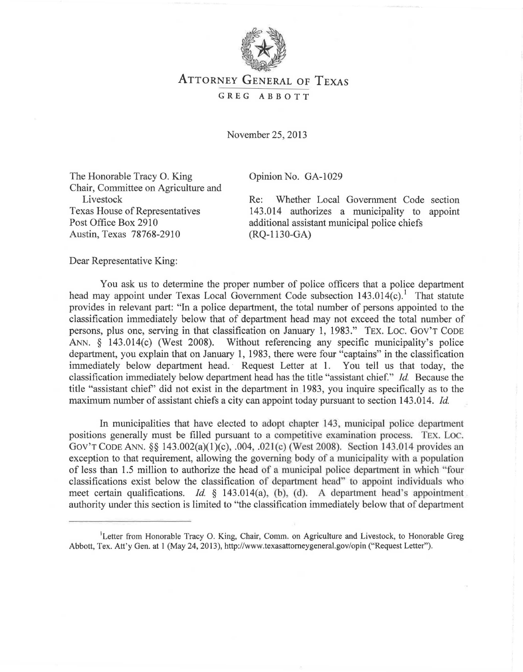

## ATTORNEY GENERAL OF TEXAS GREG ABBOTT

November 25, 2013

The Honorable Tracy 0. King Chair, Committee on Agriculture and Livestock Texas House of Representatives Post Office Box 2910 Austin, Texas 78768-2910

Opinion No. GA-1029

Re: Whether Local Government Code section 143.014 authorizes a municipality to appoint additional assistant municipal police chiefs (RQ-1130-GA)

Dear Representative King:

You ask us to determine the proper number of police officers that a police department head may appoint under Texas Local Government Code subsection  $143.014(c)$ . That statute provides in relevant part: "In a police department, the total number of persons appointed to the classification immediately below that of department head may not exceed the total number of persons, plus one, serving in that classification on January 1, 1983." TEX. Loc. Gov'T CODE ANN. § 143.014(c) (West 2008). Without referencing any specific municipality's police department, you explain that on January 1, 1983, there were four "captains" in the classification immediately below department head. Request Letter at 1. You tell us that today, the classification immediately below department head has the title "assistant chief." *!d.* Because the title "assistant chief' did not exist in the department in 1983, you inquire specifically as to the maximum number of assistant chiefs a city can appoint today pursuant to section 143.014. *!d.* 

In municipalities that have elected to adopt chapter 143, municipal police department positions generally must be filled pursuant to a competitive examination process. Tex. Loc. GOV'T CODE ANN. §§ 143.002(a)(1)(c), .004, .021(c) (West 2008). Section 143.014 provides an exception to that requirement, allowing the governing body of a municipality with a population of less than 1.5 million to authorize the head of a municipal police department in which "four classifications exist below the classification of department head" to appoint individuals who meet certain qualifications. *Id.* § 143.014(a), (b), (d). A department head's appointment authority under this section is limited to "the classification immediately below that of department

<sup>&</sup>lt;sup>1</sup>Letter from Honorable Tracy O. King, Chair, Comm. on Agriculture and Livestock, to Honorable Greg Abbott, Tex. Att'y Gen. at 1 (May 24, 2013), http://www.texasattomeygeneral.gov/opin ("Request Letter").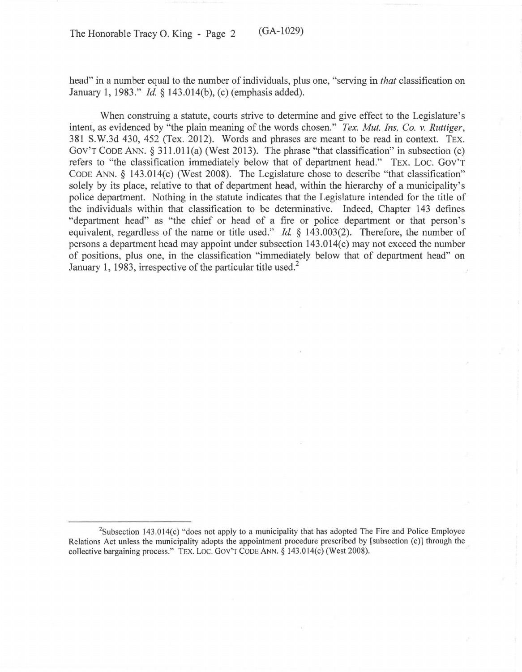head" in a number equal to the number of individuals, plus one, "serving in *that* classification on January 1, 1983." *Id* § 143.014(b), (c) (emphasis added).

When construing a statute, courts strive to determine and give effect to the Legislature's intent, as evidenced by "the plain meaning of the words chosen." *Tex. Mut. Ins. Co. v. Ruttiger,*  381 S.W.3d 430, 452 (Tex. 2012). Words and phrases are meant to be read in context. TEX. Gov'r CODE ANN. *§* 311.011(a) (West 2013). The phrase "that classification" in subsection (c) refers to "the classification immediately below that of department head." TEX. Loc. Gov'r CoDE ANN. *§* 143.014(c) (West 2008). The Legislature chose to describe "that classification" solely by its place, relative to that of department head, within the hierarchy of a municipality's police department. Nothing in the statute indicates that the Legislature intended for the title of the individuals within that classification to be determinative. Indeed, Chapter 143 defines "department head" as "the chief or head of a fire or police department or that person's equivalent, regardless of the name or title used." *Id.* § 143.003(2). Therefore, the number of persons a department head may appoint under subsection 143.014(c) may not exceed the number of positions, plus one, in the classification "immediately below that of department head" on January 1, 1983, irrespective of the particular title used.<sup>2</sup>

<sup>&</sup>lt;sup>2</sup>Subsection 143.014(c) "does not apply to a municipality that has adopted The Fire and Police Employee Relations Act unless the municipality adopts the appointment procedure prescribed by [subsection (c)] through the collective bargaining process." TEX. LOC. GOV'T CODE ANN. § 143.014(c) (West 2008).